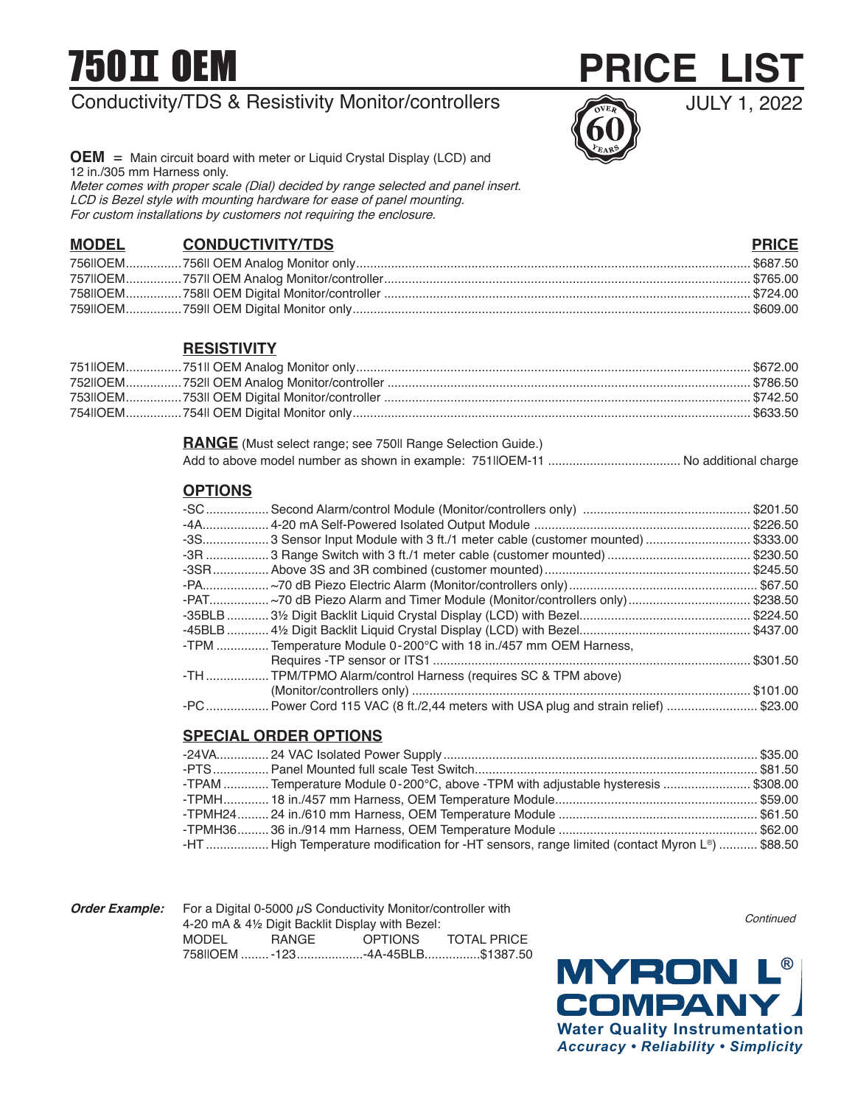# 750 OEM

# Conductivity/TDS & Resistivity Monitor/controllers



JULY 1, 2022

**OEM** = Main circuit board with meter or Liquid Crystal Display (LCD) and 12 in./305 mm Harness only. Meter comes with proper scale (Dial) decided by range selected and panel insert. LCD is Bezel style with mounting hardware for ease of panel mounting. For custom installations by customers not requiring the enclosure.

# **MODEL CONDUCTIVITY/TDS PRICE**

| _________________ |  |
|-------------------|--|
|                   |  |
|                   |  |
|                   |  |
|                   |  |

# **RESISTIVITY**

#### **RANGE** (Must select range; see 750II Range Selection Guide.)

|--|--|--|

### **OPTIONS**

|           |                                                                                               | \$201.50 |
|-----------|-----------------------------------------------------------------------------------------------|----------|
|           |                                                                                               | \$226.50 |
|           | -3S 3 Sensor Input Module with 3 ft./1 meter cable (customer mounted)                         | \$333.00 |
| -3R …………… |                                                                                               | \$230.50 |
| -3SR      |                                                                                               | \$245.50 |
|           | -PA…………………~70 dB Piezo Electric Alarm (Monitor/controllers only)…………………………………………………\$67.50    |          |
|           | -PAT ~70 dB Piezo Alarm and Timer Module (Monitor/controllers only)                           | \$238.50 |
|           | -35BLB ………… 3½ Digit Backlit Liquid Crystal Display (LCD) with Bezel………………………………………           | \$224.50 |
|           | -45BLB ………… 4½ Digit Backlit Liguid Crystal Display (LCD) with Bezel………………………………………… \$437.00 |          |
|           | -TPM  Temperature Module 0-200°C with 18 in./457 mm OEM Harness,                              |          |
|           |                                                                                               | \$301.50 |
|           | -TH  TPM/TPMO Alarm/control Harness (requires SC & TPM above)                                 |          |
|           |                                                                                               | \$101.00 |
| -PC       | . Power Cord 115 VAC (8 ft./2,44 meters with USA plug and strain relief) \$23.00              |          |

# **SPECIAL ORDER OPTIONS**

| TPAM  Temperature Module 0-200°C, above -TPM with adjustable hysteresis \$308.00             |  |
|----------------------------------------------------------------------------------------------|--|
|                                                                                              |  |
|                                                                                              |  |
|                                                                                              |  |
| HT  High Temperature modification for -HT sensors, range limited (contact Myron L®)  \$88.50 |  |

**Order Example:** For a Digital 0-5000  $\mu$ S Conductivity Monitor/controller with 4-20 mA & 4½ Digit Backlit Display with Bezel: **TOTAL PRICE** 758IIOEM ........-123...................-4A-45BLB................\$1387.50

**Continued**